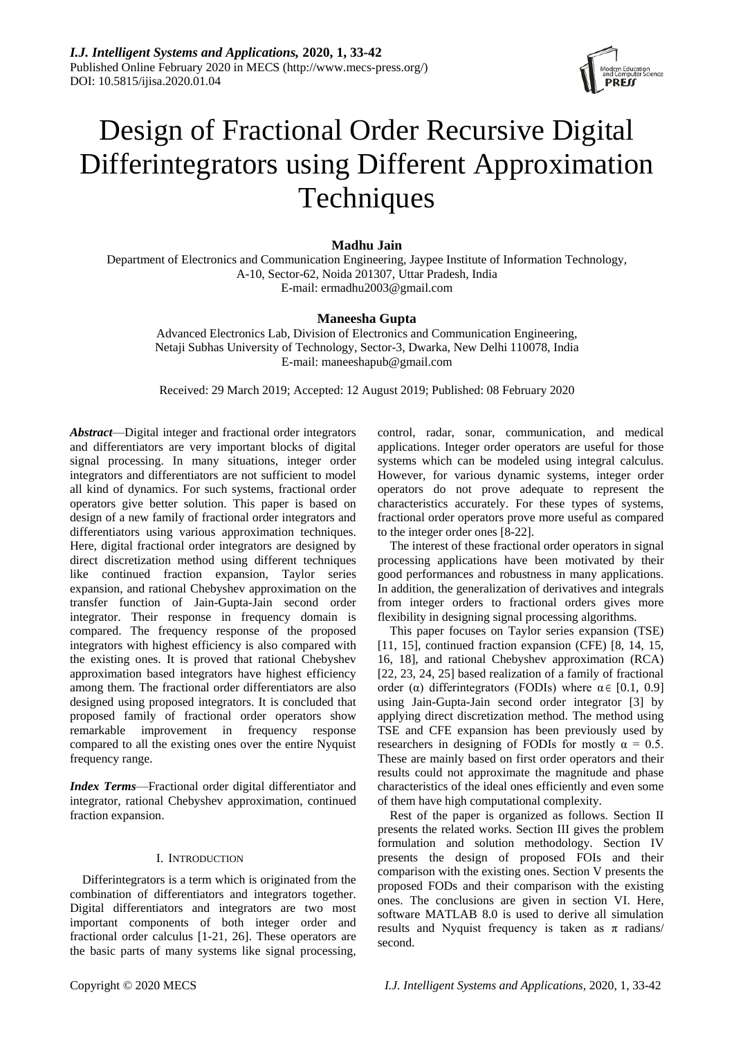

# Design of Fractional Order Recursive Digital Differintegrators using Different Approximation **Techniques**

# **Madhu Jain**

Department of Electronics and Communication Engineering, Jaypee Institute of Information Technology, A-10, Sector-62, Noida 201307, Uttar Pradesh, India E-mail: ermadhu2003@gmail.com

## **Maneesha Gupta**

Advanced Electronics Lab, Division of Electronics and Communication Engineering, Netaji Subhas University of Technology, Sector-3, Dwarka, New Delhi 110078, India E-mail: maneeshapub@gmail.com

Received: 29 March 2019; Accepted: 12 August 2019; Published: 08 February 2020

*Abstract*—Digital integer and fractional order integrators and differentiators are very important blocks of digital signal processing. In many situations, integer order integrators and differentiators are not sufficient to model all kind of dynamics. For such systems, fractional order operators give better solution. This paper is based on design of a new family of fractional order integrators and differentiators using various approximation techniques. Here, digital fractional order integrators are designed by direct discretization method using different techniques like continued fraction expansion, Taylor series expansion, and rational Chebyshev approximation on the transfer function of Jain-Gupta-Jain second order integrator. Their response in frequency domain is compared. The frequency response of the proposed integrators with highest efficiency is also compared with the existing ones. It is proved that rational Chebyshev approximation based integrators have highest efficiency among them. The fractional order differentiators are also designed using proposed integrators. It is concluded that proposed family of fractional order operators show remarkable improvement in frequency response compared to all the existing ones over the entire Nyquist frequency range.

*Index Terms*—Fractional order digital differentiator and integrator, rational Chebyshev approximation, continued fraction expansion.

## I. INTRODUCTION

Differintegrators is a term which is originated from the combination of differentiators and integrators together. Digital differentiators and integrators are two most important components of both integer order and fractional order calculus [1-21, 26]. These operators are the basic parts of many systems like signal processing,

control, radar, sonar, communication, and medical applications. Integer order operators are useful for those systems which can be modeled using integral calculus. However, for various dynamic systems, integer order operators do not prove adequate to represent the characteristics accurately. For these types of systems, fractional order operators prove more useful as compared to the integer order ones [8-22].

The interest of these fractional order operators in signal processing applications have been motivated by their good performances and robustness in many applications. In addition, the generalization of derivatives and integrals from integer orders to fractional orders gives more flexibility in designing signal processing algorithms.

This paper focuses on Taylor series expansion (TSE) [11, 15], continued fraction expansion (CFE) [8, 14, 15, 16, 18], and rational Chebyshev approximation (RCA) [22, 23, 24, 25] based realization of a family of fractional order ( $\alpha$ ) differintegrators (FODIs) where  $\alpha \in [0.1, 0.9]$ using Jain-Gupta-Jain second order integrator [3] by applying direct discretization method. The method using TSE and CFE expansion has been previously used by researchers in designing of FODIs for mostly  $\alpha = 0.5$ . These are mainly based on first order operators and their results could not approximate the magnitude and phase characteristics of the ideal ones efficiently and even some of them have high computational complexity.

Rest of the paper is organized as follows. Section II presents the related works. Section III gives the problem formulation and solution methodology. Section IV presents the design of proposed FOIs and their comparison with the existing ones. Section V presents the proposed FODs and their comparison with the existing ones. The conclusions are given in section VI. Here, software MATLAB 8.0 is used to derive all simulation results and Nyquist frequency is taken as  $\pi$  radians/ second.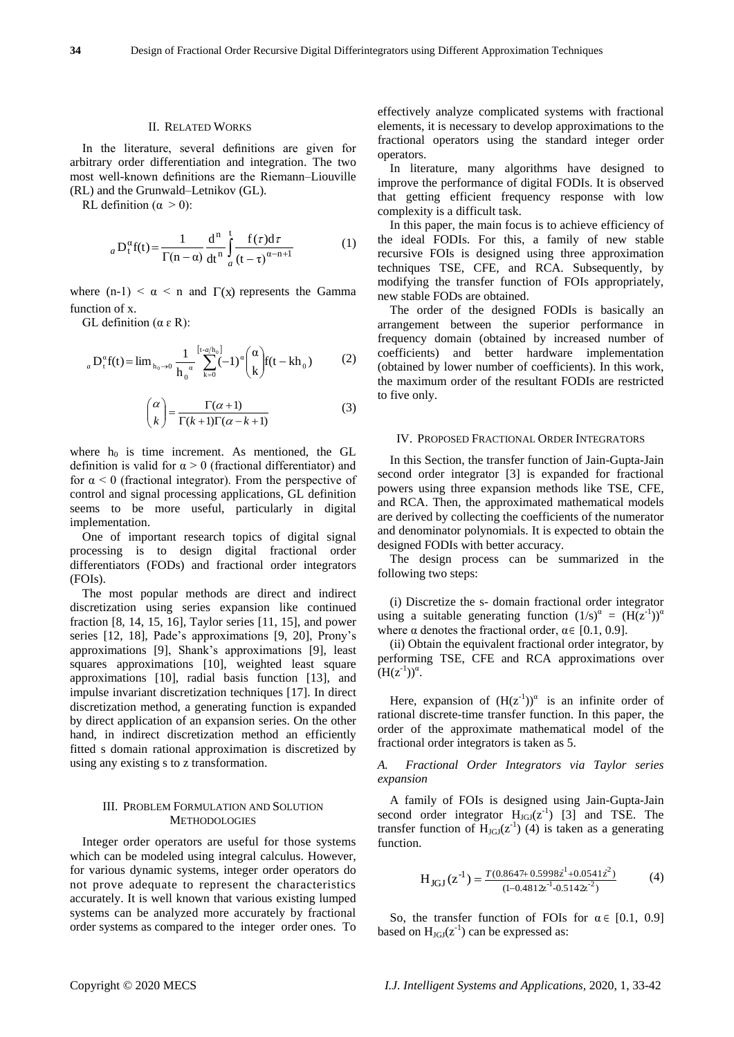#### II. RELATED WORKS

In the literature, several definitions are given for arbitrary order differentiation and integration. The two most well-known definitions are the Riemann–Liouville (RL) and the Grunwald–Letnikov (GL).

RL definition ( $\alpha > 0$ ):

$$
{}_{a}D_{t}^{\alpha}f(t) = \frac{1}{\Gamma(n-\alpha)}\frac{d^{n}}{dt^{n}}\int_{a}^{t} \frac{f(\tau)d\tau}{(t-\tau)^{\alpha-n+1}}
$$
(1)

where  $(n-1) < \alpha < n$  and  $\Gamma(x)$  represents the Gamma function of x.

GL definition  $(α ε R)$ :

$$
{}_{a}D_{t}^{\alpha}f(t) = \lim_{h_{0}\to 0} \frac{1}{h_{0}^{\alpha}} \sum_{k=0}^{[t-a/h_{0}]} (-1)^{\alpha} {\alpha \choose k} f(t - kh_{0})
$$
 (2)

$$
\binom{\alpha}{k} = \frac{\Gamma(\alpha+1)}{\Gamma(k+1)\Gamma(\alpha-k+1)}\tag{3}
$$

where  $h_0$  is time increment. As mentioned, the GL definition is valid for  $\alpha > 0$  (fractional differentiator) and for  $\alpha$  < 0 (fractional integrator). From the perspective of control and signal processing applications, GL definition seems to be more useful, particularly in digital implementation.

One of important research topics of digital signal processing is to design digital fractional order differentiators (FODs) and fractional order integrators (FOIs).

The most popular methods are direct and indirect discretization using series expansion like continued fraction [8, 14, 15, 16], Taylor series [11, 15], and power series [12, 18], Pade's approximations [9, 20], Prony's approximations [9], Shank's approximations [9], least squares approximations [10], weighted least square approximations [10], radial basis function [13], and impulse invariant discretization techniques [17]. In direct discretization method, a generating function is expanded by direct application of an expansion series. On the other hand, in indirect discretization method an efficiently fitted s domain rational approximation is discretized by using any existing s to z transformation.

#### III. PROBLEM FORMULATION AND SOLUTION **METHODOLOGIES**

Integer order operators are useful for those systems which can be modeled using integral calculus. However, for various dynamic systems, integer order operators do not prove adequate to represent the characteristics accurately. It is well known that various existing lumped systems can be analyzed more accurately by fractional order systems as compared to the integer order ones. To effectively analyze complicated systems with fractional elements, it is necessary to develop approximations to the fractional operators using the standard integer order operators.

In literature, many algorithms have designed to improve the performance of digital FODIs. It is observed that getting efficient frequency response with low complexity is a difficult task.

In this paper, the main focus is to achieve efficiency of the ideal FODIs. For this, a family of new stable recursive FOIs is designed using three approximation techniques TSE, CFE, and RCA. Subsequently, by modifying the transfer function of FOIs appropriately, new stable FODs are obtained.

The order of the designed FODIs is basically an arrangement between the superior performance in frequency domain (obtained by increased number of coefficients) and better hardware implementation (obtained by lower number of coefficients). In this work, the maximum order of the resultant FODIs are restricted to five only.

#### IV. PROPOSED FRACTIONAL ORDER INTEGRATORS

In this Section, the transfer function of Jain-Gupta-Jain second order integrator [3] is expanded for fractional powers using three expansion methods like TSE, CFE, and RCA. Then, the approximated mathematical models are derived by collecting the coefficients of the numerator and denominator polynomials. It is expected to obtain the designed FODIs with better accuracy.

The design process can be summarized in the following two steps:

(i) Discretize the s- domain fractional order integrator using a suitable generating function  $(1/s)^{\alpha} = (H(z^{-1}))^{\alpha}$ where  $\alpha$  denotes the fractional order,  $\alpha \in [0.1, 0.9]$ .

(ii) Obtain the equivalent fractional order integrator, by performing TSE, CFE and RCA approximations over  $(H(z^{-1}))^{\alpha}$ .

Here, expansion of  $(H(z^{-1}))^{\alpha}$  is an infinite order of rational discrete-time transfer function. In this paper, the order of the approximate mathematical model of the fractional order integrators is taken as 5.

*A. Fractional Order Integrators via Taylor series expansion*

A family of FOIs is designed using Jain-Gupta-Jain second order integrator  $H_{JGI}(z^{-1})$  [3] and TSE. The transfer function of  $H_{JGI}(z^{-1})$  (4) is taken as a generating function.

$$
H_{JGI}(z^{-1}) = \frac{T(0.8647 + 0.5998z^{1} + 0.0541z^{2})}{(1 - 0.4812z^{-1} - 0.5142z^{-2})}
$$
(4)

So, the transfer function of FOIs for  $\alpha \in [0.1, 0.9]$ based on  $H_{JGI}(z^{-1})$  can be expressed as: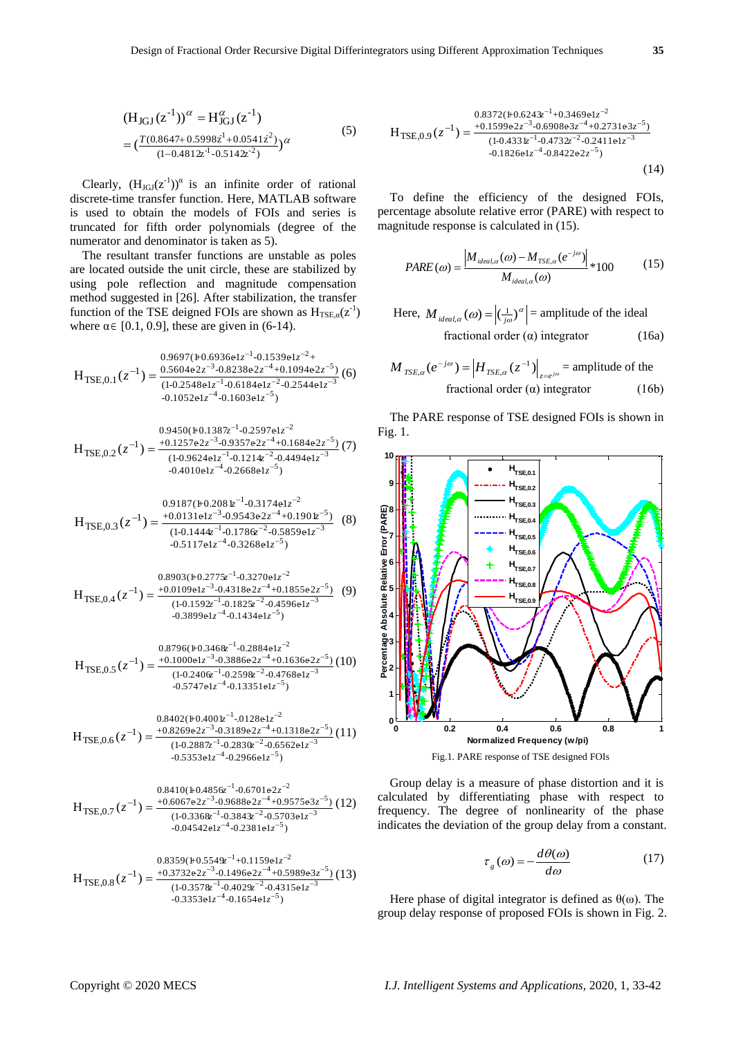$$
(HJGJ(z-1))\alpha = HIGJ\alpha (z-1)
$$
  
= 
$$
(\frac{T(0.8647 + 0.5998z1 + 0.0541z2)}{(1 - 0.4812z-1 - 0.5142z-2)})\alpha
$$
 (5)

Clearly,  $(H<sub>JGI</sub>(z<sup>-1</sup>))<sup>\alpha</sup>$  is an infinite order of rational discrete-time transfer function. Here, MATLAB software is used to obtain the models of FOIs and series is truncated for fifth order polynomials (degree of the numerator and denominator is taken as 5).

The resultant transfer functions are unstable as poles are located outside the unit circle, these are stabilized by using pole reflection and magnitude compensation method suggested in [26]. After stabilization, the transfer function of the TSE deigned FOIs are shown as  $H_{TSE, \alpha}(z^{-1})$ where  $\alpha \in [0.1, 0.9]$ , these are given in (6-14).

$$
H_{\text{TSE},0.1}(z^{-1}) = \frac{0.9697(\mu 0.6936e1 z^{-1} - 0.1539e1 z^{-2} + 0.1094e2 z^{-5})}{(1 - 0.2548e1 z^{-1} - 0.6184e1 z^{-2} - 0.2544e1 z^{-3})} (6)
$$
  
-0.1052e1 z^{-4} -0.1603e1 z^{-5})

$$
H_{\text{TSE},0.2}(z^{-1}) = \frac{0.9450(\text{H} \cdot 0.1387z^{-1} \cdot 0.2597 \text{e1} z^{-2}}{(1 - 0.9624 \text{e1} z^{-1} \cdot 0.1214z^{-2} \cdot 0.4494 \text{e1} z^{-3})} (7) - 0.4010 \text{e1} z^{-4} \cdot 0.2668 \text{e1} z^{-5})
$$

$$
H_{\text{TSE},0.3}(z^{-1}) = \frac{0.9187(\mu 0.208 \, \text{kg}^{-1} - 0.3174 \, \text{e} \, \text{kg}^{-2}}{(1 - 0.1444 \, \text{kg}^{-1} - 0.178 \, \text{kg}^{-2} - 0.5859 \, \text{e} \, \text{kg}^{-3}} \tag{8}
$$
\n
$$
-0.5117 \, \text{e} \, \text{kg}^{-4} - 0.3268 \, \text{e} \, \text{kg}^{-5})
$$

$$
H_{\text{TSE},0.4}(z^{-1}) = \frac{0.8903(\text{H}0.2775z^{-1} - 0.3270e1z^{-2})}{(1 - 0.1592z^{-1} - 0.1825z^{-2} - 0.4596e1z^{-3})} (9) - 0.3899e1z^{-4} - 0.1434e1z^{-5})
$$

$$
H_{\text{TSE},0.5}(z^{-1}) = \frac{0.8796(\text{H0.346\&^{-1}-0.2884\text{e1}z^{-2}}}{(1-0.240\text{G}^{-1}-0.259\text{G}z^{-2}+0.1636\text{e2}z^{-5})} (10) - \frac{(1-0.240\text{G}^{-1}-0.259\text{G}z^{-2}-0.4768\text{e1}z^{-3}}{0.5747\text{e1}z^{-4}-0.13351\text{e1}z^{-5})}
$$

$$
H_{\text{TSE},0.6}(z^{-1}) = \frac{0.8402(\text{H} \cdot 0.4001z^{-1} \cdot 0.128 \text{e} 1z^{-2}}{0.2887z^{-1} \cdot 0.3189 \text{e} 2z^{-4} + 0.1318 \text{e} 2z^{-5}}(11)
$$
  
-0.2887z^{-1} \cdot 0.2830z^{-2} \cdot 0.6562 \text{e} 1z^{-3}  
-0.5353 \text{e} 1z^{-4} \cdot 0.2966 \text{e} 1z^{-5})

$$
H_{\text{TSE},0.7}(z^{-1}) = \frac{0.8410(\text{ }+0.4856z^{-1}-0.6701e^{2}z^{-2}}{0.0572e^{2}z^{-3}-0.9688e^{2}z^{-4}+0.9575e^{3}z^{-5}}(12)
$$
  

$$
\frac{0.8410(\text{ }+0.4856z^{-1}-0.6701e^{2}z^{-4}+0.9575e^{3}z^{-5})}{0.03542e^{2}z^{-4}-0.2381e^{2}z^{-5}}
$$

$$
H_{\text{TSE},0.8}(z^{-1}) = \frac{0.8359(\mu 0.5549z^{-1} + 0.1159e1z^{-2})}{(1 - 0.3578z^{-1} - 0.4029z^{-2} - 0.4315e1z^{-3})} (13)
$$
  
-0.3353e1z^{-4} -0.1654e1z^{-5})

$$
H_{\text{TSE},0.9}(z^{-1}) = \frac{0.8372(\text{H} \cdot 0.624 \text{m}^{-1} + 0.3469 \text{e} 1 z^{-2} - 0.6908 \text{e} 3 z^{-4} + 0.2731 \text{e} 3 z^{-5})}{(1 - 0.4331 z^{-1} - 0.4732 z^{-2} - 0.2411 \text{e} 1 z^{-3} - 0.1826 \text{e} 1 z^{-4} - 0.8422 \text{e} 2 z^{-5})}
$$
(14)

To define the efficiency of the designed FOIs, percentage absolute relative error (PARE) with respect to magnitude response is calculated in (15).

$$
PARE(\omega) = \frac{|M_{ideal,\alpha}(\omega) - M_{TSE,\alpha}(e^{-j\omega})|}{M_{ideal,\alpha}(\omega)} * 100
$$
 (15)

Here, 
$$
M_{ideal,\alpha}(\omega) = |(\frac{1}{j\omega})^{\alpha}|
$$
 = amplitude of the ideal  
fractional order ( $\alpha$ ) integrator (16a)

$$
M_{TSE,\alpha}(e^{-j\omega}) = |H_{TSE,\alpha}(z^{-1})|_{z=e^{j\omega}} = \text{amplitude of the}
$$
  
fractional order (a) integrator (16b)

The PARE response of TSE designed FOIs is shown in Fig. 1.



Fig.1. PARE response of TSE designed FOIs

Group delay is a measure of phase distortion and it is calculated by differentiating phase with respect to frequency. The degree of nonlinearity of the phase indicates the deviation of the group delay from a constant.

$$
\tau_{g}(\omega) = -\frac{d\theta(\omega)}{d\omega} \tag{17}
$$

Here phase of digital integrator is defined as  $\theta(\omega)$ . The group delay response of proposed FOIs is shown in Fig. 2.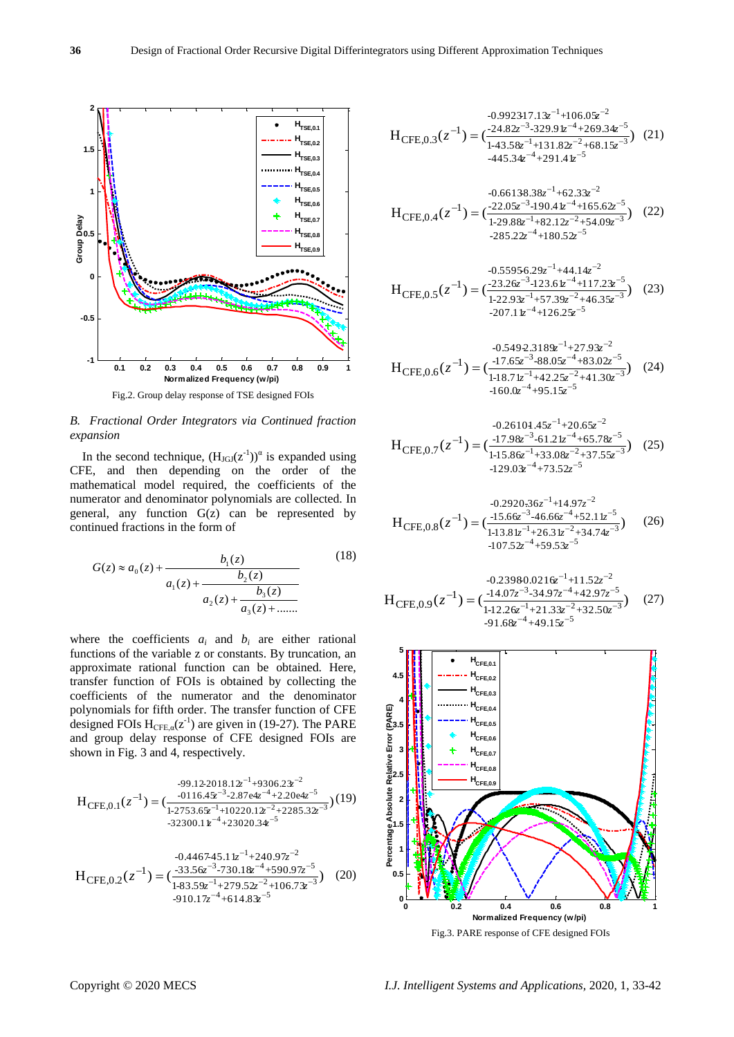

Fig.2. Group delay response of TSE designed FOIs

## *B. Fractional Order Integrators via Continued fraction expansion*

In the second technique,  $(H_{JGI}(z^{-1}))^{\alpha}$  is expanded using CFE, and then depending on the order of the mathematical model required, the coefficients of the numerator and denominator polynomials are collected. In general, any function  $G(z)$  can be represented by continued fractions in the form of

$$
G(z) \approx a_0(z) + \frac{b_1(z)}{a_1(z) + \frac{b_2(z)}{a_2(z) + \frac{b_3(z)}{a_3(z) + \dots}}}
$$
(18)

where the coefficients  $a_i$  and  $b_i$  are either rational functions of the variable z or constants. By truncation, an approximate rational function can be obtained. Here, transfer function of FOIs is obtained by collecting the coefficients of the numerator and the denominator polynomials for fifth order. The transfer function of CFE designed FOIs  $H_{\text{CFE},a}(z^{-1})$  are given in (19-27). The PARE and group delay response of CFE designed FOIs are shown in Fig. 3 and 4, respectively.

$$
H_{\text{CFE},0.1}(z^{-1}) = \frac{{\scriptstyle -99.122018.12^{-1}+9306.2\mathring{x}^{-2}}}{\scriptstyle 1-2753.6\mathring{x}^{-1}+10220.12^{-2}+2285.32^{-3}}}(19)\\ -{\scriptstyle -9.116.4\mathring{x}^{-3}-2.87e4z^{-4}+2.20e4z^{-5}}\atop \scriptstyle -32300.1\mathring{x}^{-4}+23020.34e^{-5}}
$$

$$
H_{\text{CFE},0.2}(z^{-1}) = \left(\frac{-33.56z^{-3} - 730.18z^{-4} + 590.97z^{-5}}{1 - 83.59z^{-1} + 279.52z^{-2} + 106.73z^{-3}}\right) (20) \times 910.17z^{-4} + 614.83z^{-5}
$$

$$
H_{\text{CFE},0.3}(z^{-1}) = \left(\frac{-24.82z^{-3} \cdot 329.9 \, \text{k}^{-4} + 269.34z^{-5}}{1 \cdot 43.58z^{-1} + 131.82z^{-2} + 68.15z^{-3}}\right) (21)
$$
\n
$$
= 445.34z^{-4} + 291.41z^{-5}
$$

$$
H_{\text{CFE},0.4}(z^{-1}) = \left(\frac{-22.05z^{-3} \cdot 190.4 \, k^{-4} \cdot 165.62z^{-5}}{1 \cdot 29.88z^{-1} \cdot 182.12z^{-2} \cdot 54.09z^{-3}}\right) (22)
$$
\n
$$
= 285.22z^{-4} \cdot 180.52z^{-5}
$$

$$
H_{\text{CFE},0.5}(z^{-1}) = \left(\frac{-23.26z^{-3} - 123.6z^{-4} + 117.2z^{-5}}{1 - 22.93z^{-1} + 57.39z^{-2} + 46.35z^{-3}}\right) (23)
$$
  
-207.1  $z^{-4} + 126.25z^{-5}$ 

$$
H_{\text{CFE},0.6}(z^{-1}) = \left(\frac{-17.65z^{-3} - 88.05z^{-4} + 83.02z^{-5}}{1 - 18.71z^{-1} + 42.25z^{-2} + 41.30z^{-3}}\right) (24)
$$
  
-160.0z<sup>-4</sup> + 95.15z<sup>-5</sup>

$$
H_{\text{CFE},0.7}(z^{-1}) = \left(\frac{-17.98z^{-3} - 61.21z^{-4} + 65.78z^{-5}}{1 \cdot 15.86z^{-1} + 33.08z^{-2} + 37.55z^{-3}}\right) (25)
$$
  
-129.0x<sup>-4</sup> + 73.52z<sup>-5</sup>

$$
H_{\text{CFE},0.8}(z^{-1}) = \left(\frac{-15.66z^{-3} - 46.66z^{-4} + 52.11z^{-5}}{1 - 13.81z^{-1} + 26.31z^{-2} + 34.74z^{-3}}\right) \tag{26}
$$
  
-107.52z<sup>-4</sup> + 59.53z<sup>-5</sup>

$$
H_{\text{CFE},0.9}(z^{-1}) = \left(\frac{-14.07z^{-3} - 34.97z^{-4} + 42.97z^{-5}}{1 - 12.26z^{-1} + 21.33z^{-2} + 32.50z^{-3}}\right) \tag{27}
$$
  
-91.68z<sup>-4</sup>+49.15z<sup>-5</sup>



Fig.3. PARE response of CFE designed FOIs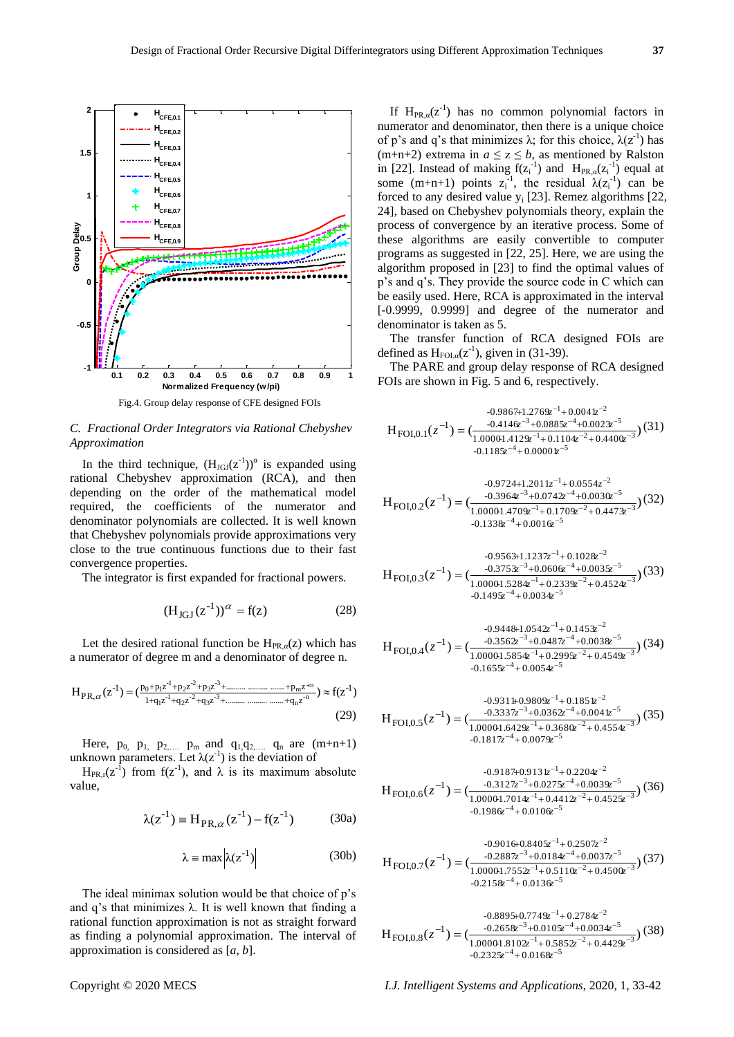

## *C. Fractional Order Integrators via Rational Chebyshev Approximation*

In the third technique,  $(H<sub>JGI</sub>(z<sup>-1</sup>))<sup>\alpha</sup>$  is expanded using rational Chebyshev approximation (RCA), and then depending on the order of the mathematical model required, the coefficients of the numerator and denominator polynomials are collected. It is well known that Chebyshev polynomials provide approximations very close to the true continuous functions due to their fast convergence properties.

The integrator is first expanded for fractional powers.

$$
(H_{JGI}(z^{-1}))^{\alpha} = f(z)
$$
 (28)

Let the desired rational function be  $H_{PR,\alpha}(z)$  which has a numerator of degree m and a denominator of degree n.

$$
H_{PR,\alpha}(z^{-1}) = \left(\frac{p_0 + p_1 z^{-1} + p_2 z^{-2} + p_3 z^{-3} + \dots + p_m z^{-m}}{1 + q_1 z^{-1} + q_2 z^{-2} + q_3 z^{-3} + \dots + p_m z^{-m}}\right) \approx f(z^{-1})
$$
\n(29)

Here,  $p_0$ ,  $p_1$ ,  $p_2$ ,  $p_m$  and  $q_1, q_2$ ,  $q_n$  are  $(m+n+1)$ unknown parameters. Let  $\lambda(z^{-1})$  is the deviation of

H<sub>PR,r</sub>( $z^{-1}$ ) from  $f(z^{-1})$ , and  $\lambda$  is its maximum absolute value,

$$
\lambda(z^{-1}) = H_{PR,\alpha}(z^{-1}) - f(z^{-1})
$$
 (30a)

$$
\lambda = \max \left| \lambda(z^{-1}) \right| \tag{30b}
$$

The ideal minimax solution would be that choice of p's and q's that minimizes  $\lambda$ . It is well known that finding a rational function approximation is not as straight forward as finding a polynomial approximation. The interval of approximation is considered as [*a*, *b*].

If  $H_{PR,\alpha}(z^{-1})$  has no common polynomial factors in numerator and denominator, then there is a unique choice of p's and q's that minimizes  $\lambda$ ; for this choice,  $\lambda(z^{-1})$  has (m+n+2) extrema in  $a \le z \le b$ , as mentioned by Ralston in [22]. Instead of making  $f(z_i^{-1})$  and  $H_{PR,\alpha}(z_i^{-1})$  equal at some (m+n+1) points  $z_i^{-1}$ , the residual  $\lambda(z_i^{-1})$  can be forced to any desired value  $y_i$  [23]. Remez algorithms [22, 24], based on Chebyshev polynomials theory, explain the process of convergence by an iterative process. Some of these algorithms are easily convertible to computer programs as suggested in [22, 25]. Here, we are using the algorithm proposed in [23] to find the optimal values of p's and q's. They provide the source code in C which can be easily used. Here, RCA is approximated in the interval [-0.9999, 0.9999] and degree of the numerator and denominator is taken as 5.

The transfer function of RCA designed FOIs are defined as  $H_{FOL, \alpha}(z^{-1})$ , given in (31-39).

The PARE and group delay response of RCA designed FOIs are shown in Fig. 5 and 6, respectively.

$$
H_{\text{FOI},0.1}(z^{-1}) = \left(\frac{-0.986741.2769z^{-1} + 0.0041z^{-2}}{1.00001.4129z^{-1} + 0.1104z^{-2} + 0.4400z^{-3}}\right)
$$
\n
$$
= \left(\frac{-0.4146z^{-3} + 0.0885z^{-4} + 0.0023z^{-5}}{1.01185z^{-4} + 0.00001z^{-5}}\right)
$$
\n
$$
= 0.1185z^{-4} + 0.00001z^{-5}
$$

$$
H_{\text{FOI},0.2}(z^{-1}) = \left(\frac{-0.9724+1.2011z^{-1} + 0.0554z^{-2}}{1.00001.4709z^{-1} + 0.1709z^{-2} + 0.4473z^{-3}}\right)
$$
\n
$$
= \left(\frac{-0.3964z^{-3} + 0.0742z^{-4} + 0.0030z^{-5}}{1.00001.4709z^{-1} + 0.1709z^{-2} + 0.4473z^{-3}}\right)
$$
\n
$$
= 0.1338z^{-4} + 0.0016z^{-5}
$$

$$
H_{\text{FOI},0.3}(z^{-1}) = \left(\frac{-0.3753z^{-3} + 0.060 \epsilon^{-4} + 0.1028z^{-2}}{1.00001.5284z^{-1} + 0.2339z^{-2} + 0.4524z^{-3}}\right) (33)
$$
  
-0.1495z<sup>-4</sup> + 0.0034z<sup>-5</sup>

$$
H_{\text{FOI},0.4}(z^{-1}) = \left(\frac{-0.3562z^{-3} + 0.0487z^{-4} + 0.1453z^{-2}}{1.00001.5854z^{-1} + 0.2995z^{-2} + 0.4549z^{-3}}\right) (34)
$$
  
-0.1655z^{-4} + 0.0054z^{-5}

$$
H_{\text{FOI},0.5}(z^{-1}) = \left(\frac{-0.931 + 0.9809z^{-1} + 0.185 z^{-2}}{1.00001.6429z^{-1} + 0.3680z^{-2} + 0.044 z^{-5}}\right) (35)
$$
  
-0.1817z<sup>-4</sup> + 0.0079z<sup>-5</sup>

$$
H_{\text{FOI},0.6}(z^{-1}) = \frac{-0.9187 + 0.913 z^{-1} + 0.2204 z^{-2}}{1.00001.7014 z^{-1} + 0.4412 z^{-2} + 0.4525 z^{-3}} (36) -0.1986 z^{-4} + 0.0106 z^{-5}
$$

$$
H_{\text{FOI},0.7}(z^{-1}) = \left(\frac{-0.2887z^{-3} + 0.0184z^{-4} + 0.0037z^{-2}}{1.00001.7552z^{-1} + 0.5110z^{-2} + 0.4500z^{-3}}\right) (37)
$$
  
-0.2158z<sup>-4</sup> + 0.0136z<sup>-5</sup>

$$
H_{\text{FOI},0.8}(z^{-1}) = \left(\frac{-0.8895 + 0.7749z^{-1} + 0.2784z^{-2}}{1.00001.8102z^{-1} + 0.5852z^{-2} + 0.4429z^{-3}}\right) (38)
$$
  
-0.2325z^{-4} + 0.0168z^{-5}

Copyright © 2020 MECS *I.J. Intelligent Systems and Applications,* 2020, 1, 33-42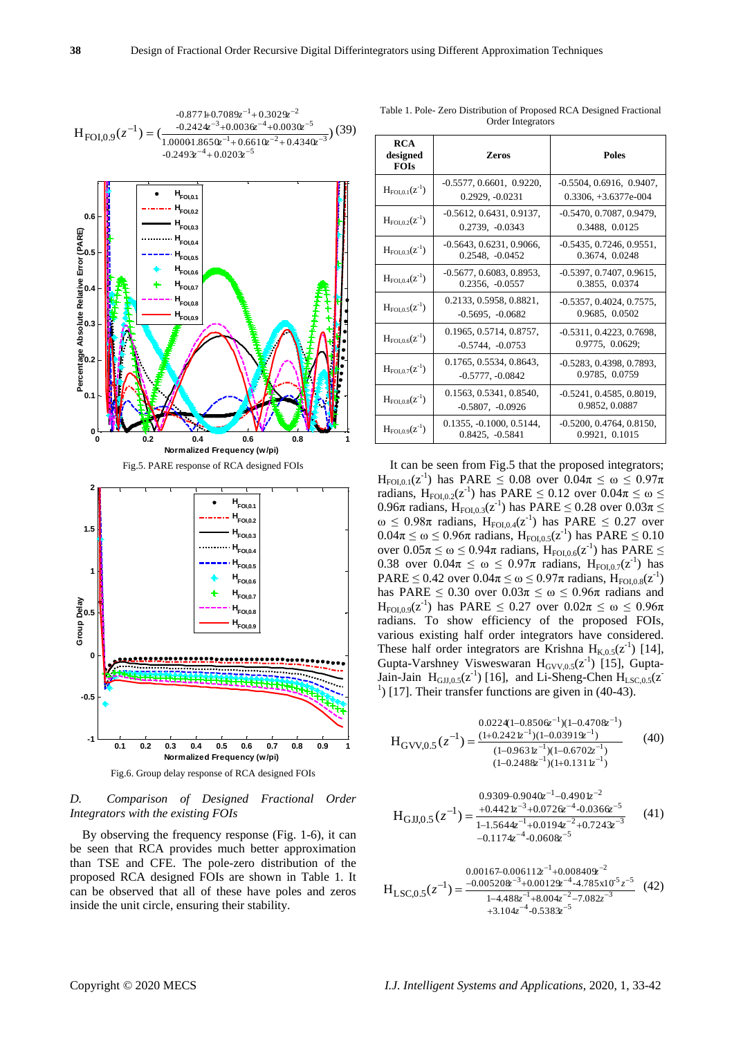

Fig.6. Group delay response of RCA designed FOIs

## *D. Comparison of Designed Fractional Order Integrators with the existing FOIs*

By observing the frequency response (Fig. 1-6), it can be seen that RCA provides much better approximation than TSE and CFE. The pole-zero distribution of the proposed RCA designed FOIs are shown in Table 1. It can be observed that all of these have poles and zeros inside the unit circle, ensuring their stability.

| <b>RCA</b><br>designed<br><b>FOIs</b> | <b>Zeros</b>                                     | <b>Poles</b>                                         |
|---------------------------------------|--------------------------------------------------|------------------------------------------------------|
| $H_{FOL0.1}(z^{-1})$                  | $-0.5577, 0.6601, 0.9220,$<br>0.2929, -0.0231    | $-0.5504, 0.6916, 0.9407,$<br>$0.3306. +3.6377e-004$ |
| $H_{FOL0.2}(z^{-1})$                  | $-0.5612, 0.6431, 0.9137,$<br>0.2739, -0.0343    | -0.5470, 0.7087, 0.9479,<br>0.3488, 0.0125           |
| $H_{\text{FOI},0.3}(z^{-1})$          | $-0.5643, 0.6231, 0.9066,$<br>$0.2548, -0.0452$  | $-0.5435, 0.7246, 0.9551,$<br>0.3674, 0.0248         |
| $H_{FOL0.4}(z^{-1})$                  | $-0.5677, 0.6083, 0.8953,$<br>0.2356, -0.0557    | $-0.5397, 0.7407, 0.9615,$<br>0.3855, 0.0374         |
| $H_{FOL0.5}(z^{-1})$                  | 0.2133, 0.5958, 0.8821,<br>$-0.5695$ , $-0.0682$ | $-0.5357, 0.4024, 0.7575,$<br>0.9685, 0.0502         |
| $H_{FOL0.6}(z^{-1})$                  | 0.1965, 0.5714, 0.8757,<br>$-0.5744, -0.0753$    | $-0.5311, 0.4223, 0.7698$<br>0.9775, 0.0629;         |
| $H_{FOL0.7}(z^{-1})$                  | 0.1765, 0.5534, 0.8643,<br>$-0.5777, -0.0842$    | -0.5283, 0.4398, 0.7893.<br>0.9785, 0.0759           |
| $H_{\text{FOI.0.8}}(z^{-1})$          | 0.1563, 0.5341, 0.8540,<br>$-0.5807, -0.0926$    | $-0.5241, 0.4585, 0.8019,$<br>0.9852, 0.0887         |
| $H_{FOL0.9}(z^{-1})$                  | $0.1355, -0.1000, 0.5144,$<br>0.8425, -0.5841    | $-0.5200, 0.4764, 0.8150,$<br>0.9921, 0.1015         |

Table 1. Pole- Zero Distribution of Proposed RCA Designed Fractional Order Integrators

It can be seen from Fig.5 that the proposed integrators;  $H_{FOI,0.1}(z^{-1})$  has PARE  $\leq 0.08$  over  $0.04\pi \leq \omega \leq 0.97\pi$ radians,  $H_{FOL, 0.2}(z^{-1})$  has PARE  $\leq 0.12$  over  $0.04\pi \leq \omega \leq$ 0.96π radians,  $H_{FOI, 0.3}(z^{-1})$  has PARE  $\leq$  0.28 over 0.03π  $\leq$  $\omega \leq 0.98\pi$  radians,  $H_{F0I,0.4}(z^{-1})$  has PARE  $\leq 0.27$  over  $0.04\pi$  ≤ ω ≤ 0.96π radians, H<sub>FOI,0.5</sub>(z<sup>-1</sup>) has PARE ≤ 0.10 over 0.05π ≤ ω ≤ 0.94π radians,  $H_{FOI, 0.6}(z<sup>-1</sup>)$  has PARE ≤ 0.38 over 0.04π ≤ ω ≤ 0.97π radians, H<sub>FOI,0.7</sub>(z<sup>-1</sup>) has PARE  $\leq 0.42$  over  $0.04\pi \leq \omega \leq 0.97\pi$  radians,  $H_{FOI,0.8}(z^{-1})$ has PARE  $\leq 0.30$  over  $0.03\pi \leq \omega \leq 0.96\pi$  radians and  $H_{FOI,0.9}(z^{-1})$  has PARE  $\leq 0.27$  over  $0.02\pi \leq \omega \leq 0.96\pi$ radians. To show efficiency of the proposed FOIs, various existing half order integrators have considered. These half order integrators are Krishna  $H_{K,0.5}(z^{-1})$  [14], Gupta-Varshney Visweswaran  $H_{GVV,0.5}(z^{-1})$  [15], Gupta-Jain-Jain  $H_{GJJ,0.5}(z^{-1})$  [16], and Li-Sheng-Chen  $H_{LSC,0.5}(z^{-1})$  $<sup>1</sup>$ ) [17]. Their transfer functions are given in (40-43).</sup>

$$
H_{GVV,0.5}(z^{-1}) = \frac{(1+0.242 \, \text{kg}^{-1})(1-0.470 \, \text{kg}^{-1})}{(1-0.963 \, \text{kg}^{-1})(1-0.670 \, \text{kg}^{-1})} \tag{40}
$$
\n
$$
\frac{(1-0.248 \, \text{kg}^{-1})(1-0.670 \, \text{kg}^{-1})}{(1-0.248 \, \text{kg}^{-1})(1+0.131 \, \text{kg}^{-1})}
$$

$$
H_{GJJ,0.5}(z^{-1}) = \frac{0.9309 - 0.9040z^{-1} - 0.4901z^{-2}}{1 - 1.5644z^{-1} + 0.0194z^{-2} + 0.7243z^{-3}}
$$
(41)  
-0.1174z^{-4} - 0.0608z^{-5}

$$
H_{LSC,0.5}(z^{-1}) = \frac{0.00167 - 0.006112z^{-1} + 0.008408z^{-2}}{1 - 4.488z^{-1} + 8.004z^{-2} - 7.082z^{-3}}
$$
(42)  

$$
+3.104z^{-4} - 0.5383z^{-5}
$$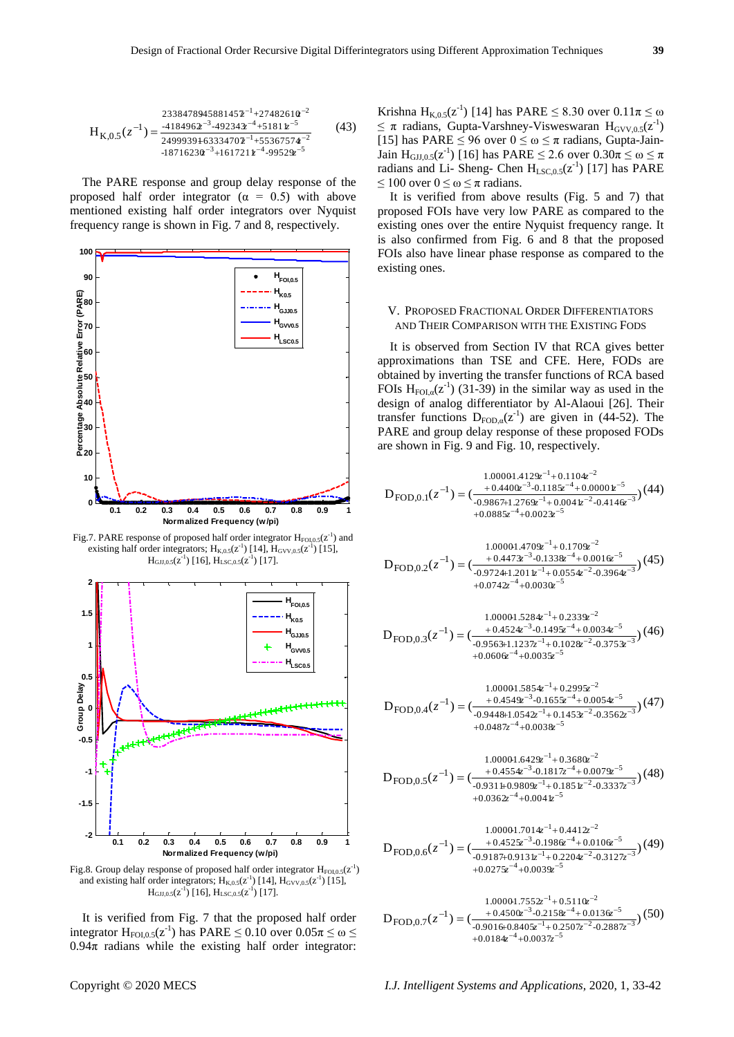$$
H_{K,0.5}(z^{-1}) = \frac{233847894588145z^{-1} + 27482610z^{-2}}{2499939 + 6333470z^{-1} + 5536757z^{-2}}
$$
(43)  
-18716230z^{-3} + 161721z^{-4} - 9529z^{-5}

The PARE response and group delay response of the proposed half order integrator ( $\alpha = 0.5$ ) with above mentioned existing half order integrators over Nyquist frequency range is shown in Fig. 7 and 8, respectively.



Fig.7. PARE response of proposed half order integrator  $H_{FOL, 0.5}(z<sup>-1</sup>)$  and existing half order integrators;  $H_{K,0.5}(z^{-1})$  [14],  $H_{GVV,0.5}(z^{-1})$  [15],  $H_{\text{GJJ},0.5}(z^{\text{-}1})$  [16],  $H_{\text{LSC},0.5}(z^{\text{-}1})$  [17].



Fig.8. Group delay response of proposed half order integrator  $H_{FOL, 0.5}(z<sup>-1</sup>)$ and existing half order integrators;  $H_{K,0.5}(z^{-1})$  [14],  $H_{GVV,0.5}(z^{-1})$  [15],  $H_{\text{GJJ},0.5}(z^{1})$  [16],  $H_{\text{LSC},0.5}(z^{1})$  [17].

It is verified from Fig. 7 that the proposed half order integrator  $H_{FOI,0.5}(z^{-1})$  has PARE  $\leq 0.10$  over  $0.05\pi \leq \omega \leq$  $0.94\pi$  radians while the existing half order integrator:

Krishna  $H_{K,0.5}(z^{-1})$  [14] has PARE  $\leq 8.30$  over  $0.11\pi \leq \omega$  $\leq \pi$  radians, Gupta-Varshney-Visweswaran  $H_{GVV,0.5}(z^{-1})$ [15] has PARE  $\leq$  96 over  $0 \leq \omega \leq \pi$  radians, Gupta-Jain-Jain H<sub>GJJ,0.5</sub>( $z^{-1}$ ) [16] has PARE  $\leq$  2.6 over  $0.30\pi \leq \omega \leq \pi$ radians and Li- Sheng- Chen  $H_{LSC,0.5}(z^{-1})$  [17] has PARE  $\leq 100$  over  $0 \leq \omega \leq \pi$  radians.

It is verified from above results (Fig. 5 and 7) that proposed FOIs have very low PARE as compared to the existing ones over the entire Nyquist frequency range. It is also confirmed from Fig. 6 and 8 that the proposed FOIs also have linear phase response as compared to the existing ones.

#### V. PROPOSED FRACTIONAL ORDER DIFFERENTIATORS AND THEIR COMPARISON WITH THE EXISTING FODS

It is observed from Section IV that RCA gives better approximations than TSE and CFE. Here, FODs are obtained by inverting the transfer functions of RCA based FOIs  $H_{F0I,\alpha}(z^{-1})$  (31-39) in the similar way as used in the design of analog differentiator by Al-Alaoui [26]. Their transfer functions  $D_{FOD,\alpha}(z^{-1})$  are given in (44-52). The PARE and group delay response of these proposed FODs are shown in Fig. 9 and Fig. 10, respectively.

$$
D_{\text{FOD},0.1}(z^{-1}) = \left(\frac{1.00001.4129z^{-1} + 0.1104z^{-2}}{-0.9867 + 1.2769z^{-1} + 0.00001z^{-2} + 0.00000z^{-5}}\right) (44) + 0.0885z^{-4} + 0.0023z^{-5}
$$

$$
D_{\text{FOD},0.2}(z^{-1}) = \left(\frac{1.00001.4709z^{-1} + 0.1709z^{-2}}{-0.9724+1.2011z^{-1} + 0.0554z^{-2} - 0.3964z^{-3}}\right) (45)
$$
  
+0.0742z^{-4} + 0.0030z^{-5}

$$
D_{\text{FOD},0.3}(z^{-1}) = \frac{1.00001.5284z^{-1} + 0.2339z^{-2}}{(-0.9563 + 1.1237z^{-1} + 0.1028z^{-2} - 0.3753z^{-3}}) (46) + 0.0606z^{-4} + 0.0035z^{-5}
$$

$$
D_{\text{FOD},0.4}(z^{-1}) = \left(\frac{1.00001.5854z^{-1} + 0.2995z^{-2}}{-0.9448 + 1.0542z^{-3} - 0.1655z^{-4} + 0.0054z^{-5}} -0.3562z^{-3}}\right) (47)
$$
  
+0.0487z^{-4} + 0.0038z^{-5}

$$
D_{\text{FOD},0.5}(z^{-1}) = \frac{1.00001.642\mathfrak{D}^{-1} + 0.3680z^{-2}}{+ 0.4554z^{-3} - 0.1817z^{-4} + 0.0079z^{-5}}}{(-0.9311 + 0.9809z^{-1} + 0.185z^{-2} - 0.3337z^{-3}})(48)
$$
  
+0.0362z^{-4} + 0.0041z^{-5}

$$
D_{\text{FOD},0.6}(z^{-1}) = \frac{1.00001.7014z^{-1} + 0.4412z^{-2}}{(-0.9187 + 0.0131z^{-1} + 0.2204z^{-2} - 0.3127z^{-3})} (49) + 0.0275z^{-4} + 0.0039z^{-5}
$$

$$
D_{\text{FOD},0.7}(z^{-1}) = \left(\frac{1.00001.7552z^{-1} + 0.5110z^{-2}}{-0.9016 + 0.8405z^{-1} - 0.2158z^{-4} + 0.0136z^{-5}}\right) (50) + 0.0184z^{-4} + 0.0037z^{-5}
$$

Copyright © 2020 MECS *I.J. Intelligent Systems and Applications,* 2020, 1, 33-42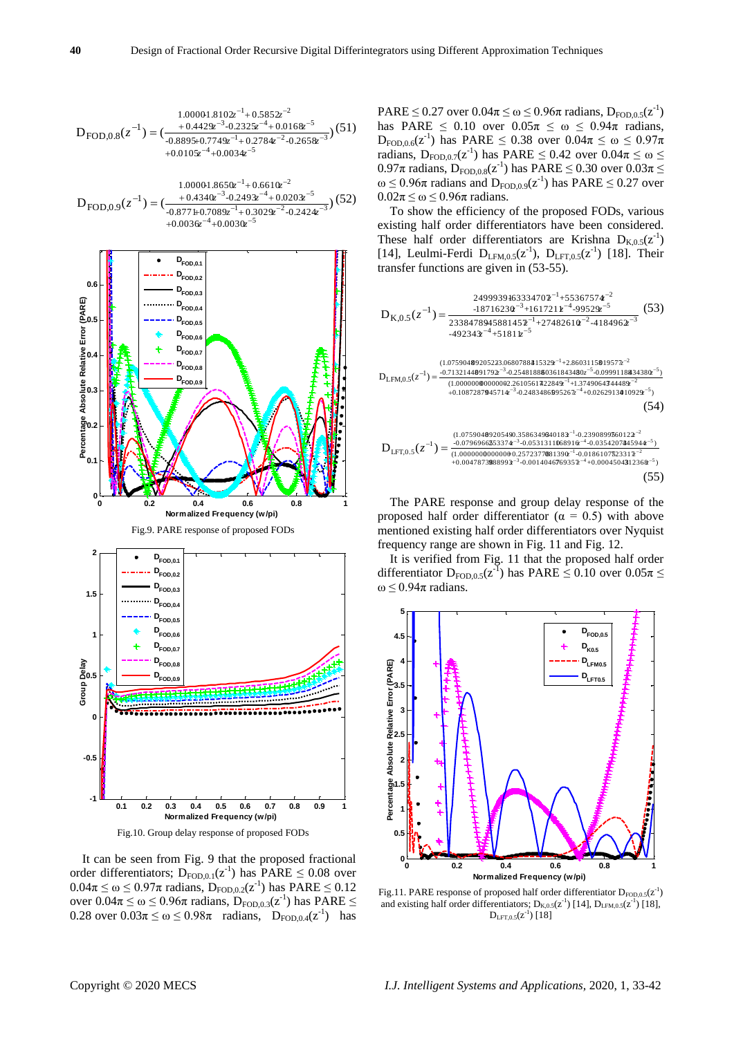$$
D_{\text{FOD},0.8}(z^{-1}) = \frac{1.00001.8102^{-1} + 0.5852^{-2}}{\left(-0.8895 + 0.7749z^{-3} - 0.2325z^{-4} + 0.0168z^{-5}\right)} \cdot (51) + 0.0105z^{-4} + 0.0034z^{-5}
$$

$$
D_{FOD,0.9}(z^{-1}) = \frac{1.00001.8650z^{-1} + 0.6610z^{-2}}{-0.8771 + 0.7089z^{-1} + 0.0203z^{-5}}}{(-0.8771 + 0.7089z^{-1} + 0.3029z^{-2} - 0.2424z^{-3}})}(52)
$$
  
+0.0036z^{-4} + 0.0030z^{-5}



It can be seen from Fig. 9 that the proposed fractional order differentiators;  $D_{FOD,0.1}(z^{-1})$  has  $PARE \leq 0.08$  over  $0.04\pi \le \omega \le 0.97\pi$  radians,  $D_{FOD,0.2}(z^{-1})$  has PARE  $\le 0.12$ over 0.04π ≤ ω ≤ 0.96π radians,  $D_{FOD,0.3}(z<sup>-1</sup>)$  has PARE ≤ 0.28 over  $0.03\pi \le \omega \le 0.98\pi$  radians,  $D_{FOD,0.4}(z^{-1})$  has

PARE  $\leq$  0.27 over 0.04 $\pi \leq \omega \leq 0.96\pi$  radians,  $D_{FOD,0.5}(z^{-1})$ has PARE  $\leq$  0.10 over  $0.05\pi \leq \omega \leq 0.94\pi$  radians,  $D_{FOD,0.6}(z^{-1})$  has PARE  $\leq 0.38$  over  $0.04\pi \leq \omega \leq 0.97\pi$ radians,  $D_{FOD,0.7}(z^{-1})$  has PARE  $\leq 0.42$  over  $0.04\pi \leq \omega \leq$ 0.97π radians,  $D_{FOD,0.8}(z^{-1})$  has PARE  $\leq$  0.30 over 0.03π  $\leq$  $\omega \leq 0.96\pi$  radians and  $D_{FOD,0.9}(z^{-1})$  has PARE  $\leq 0.27$  over  $0.02\pi \leq \omega \leq 0.96\pi$  radians.

To show the efficiency of the proposed FODs, various existing half order differentiators have been considered. These half order differentiators are Krishna  $D_{K,0.5}(z^{-1})$ [14], Leulmi-Ferdi  $D_{LFM,0.5}(z^{-1})$ ,  $D_{LFT,0.5}(z^{-1})$  [18]. Their transfer functions are given in (53-55).

4 5 1 2 3 3 4 5 1 2 -492343 +51811 23384789-45881457 +27482610 -4184962 -18716230 +1617211 -99529 24999391-63334707 +55367574 1 K,0.5 D ( ) *z z z zz z zz zzz* (53) 0.10872879045714 -0.24834865095267 +0.02629134010929 ) (1.00000000000000-2.26105617422849 +1.37490643744489 -0.71321448091792 -0.2548188860361843438 0 -0.09991188434380 ) (1.07590480920522-3.06807884315329 +2.86031158019577 1 LFM,0.5 3 4 5 1 2 3 5 5 1 2 D ( ) *z z z z z z z z z z z* (54) +0.00478738988993 -0.00140467769357 +0.00045043312368 ) (1.0000000000000+0.25723778081390 -0.01861075723317 -0.07969665253374 -0.05313110168916 -0.03542073445944 ) (1.07590480920549-0.35863493640183 -0.23908995760122 1 LFT,0.5 3 4 5 1 2 3 4 5 1 2 D ( ) *z z z <sup>z</sup> zz <sup>z</sup> <sup>z</sup> zz z* (55)

The PARE response and group delay response of the proposed half order differentiator ( $\alpha = 0.5$ ) with above mentioned existing half order differentiators over Nyquist frequency range are shown in Fig. 11 and Fig. 12.

It is verified from Fig. 11 that the proposed half order differentiator  $D_{FOD,0.5}(z^{\bar{1}})$  has PARE  $\leq 0.10$  over  $0.05\pi \leq$ ω  $\leq$  0.94 $\pi$  radians.



Fig.11. PARE response of proposed half order differentiator  $D_{\text{FOD,0.5}}(z^{-1})$ and existing half order differentiators;  $D_{K,0.5}(z^1)$  [14],  $D_{LFM,0.5}(z^1)$  [18],  $D_{\text{LFT,0.5}}(z^{1})$  [18]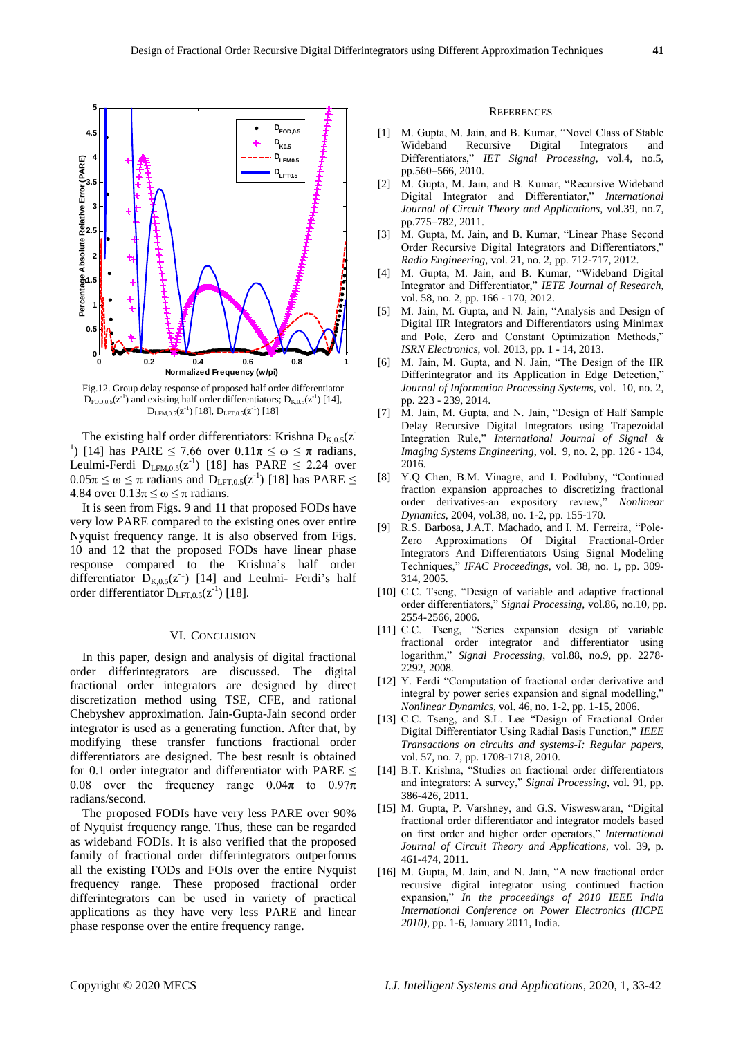

Fig.12. Group delay response of proposed half order differentiator  $D_{\text{FOD},0.5}(z^{-1})$  and existing half order differentiators;  $D_{\text{K},0.5}(z^{-1})$  [14],  $D_{LFM,0.5}(z^{-1})$  [18],  $D_{LFT,0.5}(z^{-1})$  [18]

The existing half order differentiators: Krishna  $D_{K,0.5}(z)$ <sup>1</sup>) [14] has PARE  $\leq$  7.66 over  $0.11\pi \leq \omega \leq \pi$  radians, Leulmi-Ferdi  $D_{LFM,0.5}(z^{-1})$  [18] has PARE  $\leq 2.24$  over  $0.05\pi \leq \omega \leq \pi$  radians and  $D_{LFT,0.5}(z^{-1})$  [18] has PARE  $\leq$ 4.84 over  $0.13\pi \leq \omega \leq \pi$  radians.

It is seen from Figs. 9 and 11 that proposed FODs have very low PARE compared to the existing ones over entire Nyquist frequency range. It is also observed from Figs. 10 and 12 that the proposed FODs have linear phase response compared to the Krishna's half order differentiator  $\mathbf{D}_{K,0.5}(z^{-1})$  [14] and Leulmi- Ferdi's half order differentiator  $D_{\text{LFT,0.5}}(z^{-1})$  [18].

#### VI. CONCLUSION

In this paper, design and analysis of digital fractional order differintegrators are discussed. The digital fractional order integrators are designed by direct discretization method using TSE, CFE, and rational Chebyshev approximation. Jain-Gupta-Jain second order integrator is used as a generating function. After that, by modifying these transfer functions fractional order differentiators are designed. The best result is obtained for 0.1 order integrator and differentiator with PARE  $\leq$ 0.08 over the frequency range  $0.04\pi$  to  $0.97\pi$ radians/second.

The proposed FODIs have very less PARE over 90% of Nyquist frequency range. Thus, these can be regarded as wideband FODIs. It is also verified that the proposed family of fractional order differintegrators outperforms all the existing FODs and FOIs over the entire Nyquist frequency range. These proposed fractional order differintegrators can be used in variety of practical applications as they have very less PARE and linear phase response over the entire frequency range.

#### **REFERENCES**

- [1] M. Gupta, M. Jain, and B. Kumar, "Novel Class of Stable Wideband Recursive Digital Integrators and Differentiators," *IET Signal Processing*, vol.4, no.5, pp.560–566, 2010.
- [2] M. Gupta, M. Jain, and B. Kumar, "Recursive Wideband Digital Integrator and Differentiator," *International Journal of Circuit Theory and Applications*, vol.39, no.7, pp.775–782, 2011.
- [3] M. Gupta, M. Jain, and B. Kumar, "Linear Phase Second Order Recursive Digital Integrators and Differentiators," *Radio Engineering*, vol. 21, no. 2, pp. 712-717, 2012.
- [4] M. Gupta, M. Jain, and B. Kumar, "Wideband Digital Integrator and Differentiator," *IETE Journal of Research*, vol. 58, no. 2, pp. 166 - 170, 2012.
- [5] M. Jain, M. Gupta, and N. Jain, "Analysis and Design of Digital IIR Integrators and Differentiators using Minimax and Pole, Zero and Constant Optimization Methods," *ISRN Electronics*, vol. 2013, pp. 1 - 14, 2013.
- [6] M. Jain, M. Gupta, and N. Jain, "The Design of the IIR Differintegrator and its Application in Edge Detection," *Journal of Information Processing Systems*, vol. 10, no. 2, pp. 223 - 239, 2014.
- [7] M. Jain, M. Gupta, and N. Jain, "Design of Half Sample Delay Recursive Digital Integrators using Trapezoidal Integration Rule," *International Journal of Signal & Imaging Systems Engineering*, vol. 9, no. 2, pp. 126 - 134, 2016.
- [8] Y.Q Chen, B.M. Vinagre, and I. Podlubny, "Continued fraction expansion approaches to discretizing fractional order derivatives-an expository review," *Nonlinear Dynamics*, 2004, vol.38, no. 1-2, pp. 155-170.
- [9] R.S. Barbosa, J.A.T. Machado, and I. M. Ferreira, "Pole-Zero Approximations Of Digital Fractional-Order Integrators And Differentiators Using Signal Modeling Techniques," *IFAC Proceedings*, vol. 38, no. 1, pp. 309- 314, 2005.
- [10] C.C. Tseng, "Design of variable and adaptive fractional order differentiators," *Signal Processing*, vol.86, no.10, pp. 2554-2566, 2006.
- [11] C.C. Tseng, "Series expansion design of variable fractional order integrator and differentiator using logarithm," *Signal Processing*, vol.88, no.9, pp. 2278- 2292, 2008.
- [12] Y. Ferdi "Computation of fractional order derivative and integral by power series expansion and signal modelling," *Nonlinear Dynamics*, vol. 46, no. 1-2, pp. 1-15, 2006.
- [13] C.C. Tseng, and S.L. Lee "Design of Fractional Order Digital Differentiator Using Radial Basis Function," *IEEE Transactions on circuits and systems-I: Regular papers*, vol. 57, no. 7, pp. 1708-1718, 2010.
- [14] B.T. Krishna, "Studies on fractional order differentiators and integrators: A survey," *Signal Processing*, vol. 91, pp. 386-426, 2011.
- [15] M. Gupta, P. Varshney, and G.S. Visweswaran, "Digital fractional order differentiator and integrator models based on first order and higher order operators," *International Journal of Circuit Theory and Applications,* vol. 39, p. 461-474, 2011.
- [16] M. Gupta, M. Jain, and N. Jain, "A new fractional order recursive digital integrator using continued fraction expansion," *In the proceedings of 2010 IEEE India International Conference on Power Electronics (IICPE 2010)*, pp. 1-6, January 2011, India.